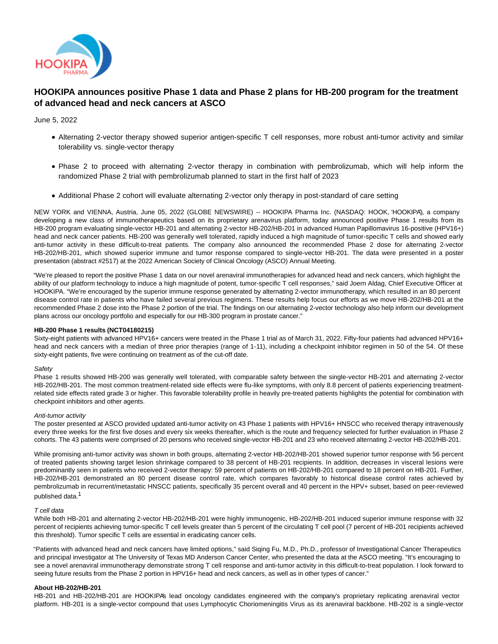

# **HOOKIPA announces positive Phase 1 data and Phase 2 plans for HB-200 program for the treatment of advanced head and neck cancers at ASCO**

June 5, 2022

- Alternating 2-vector therapy showed superior antigen-specific T cell responses, more robust anti-tumor activity and similar tolerability vs. single-vector therapy
- Phase 2 to proceed with alternating 2-vector therapy in combination with pembrolizumab, which will help inform the randomized Phase 2 trial with pembrolizumab planned to start in the first half of 2023
- Additional Phase 2 cohort will evaluate alternating 2-vector only therapy in post-standard of care setting

NEW YORK and VIENNA, Austria, June 05, 2022 (GLOBE NEWSWIRE) -- HOOKIPA Pharma Inc. (NASDAQ: HOOK, 'HOOKIPA'), a company developing a new class of immunotherapeutics based on its proprietary arenavirus platform, today announced positive Phase 1 results from its HB-200 program evaluating single-vector HB-201 and alternating 2-vector HB-202/HB-201 in advanced Human Papillomavirus 16-positive (HPV16+) head and neck cancer patients. HB-200 was generally well tolerated, rapidly induced a high magnitude of tumor-specific T cells and showed early anti-tumor activity in these difficult-to-treat patients. The company also announced the recommended Phase 2 dose for alternating 2-vector HB-202/HB-201, which showed superior immune and tumor response compared to single-vector HB-201. The data were presented in a poster presentation (abstract #2517) at the 2022 American Society of Clinical Oncology (ASCO) Annual Meeting.

"We're pleased to report the positive Phase 1 data on our novel arenaviral immunotherapies for advanced head and neck cancers, which highlight the ability of our platform technology to induce a high magnitude of potent, tumor-specific T cell responses," said Joern Aldag, Chief Executive Officer at HOOKIPA. "We're encouraged by the superior immune response generated by alternating 2-vector immunotherapy, which resulted in an 80 percent disease control rate in patients who have failed several previous regimens. These results help focus our efforts as we move HB-202/HB-201 at the recommended Phase 2 dose into the Phase 2 portion of the trial. The findings on our alternating 2-vector technology also help inform our development plans across our oncology portfolio and especially for our HB-300 program in prostate cancer."

# **HB-200 Phase 1 results (NCT04180215)**

Sixty-eight patients with advanced HPV16+ cancers were treated in the Phase 1 trial as of March 31, 2022. Fifty-four patients had advanced HPV16+ head and neck cancers with a median of three prior therapies (range of 1-11), including a checkpoint inhibitor regimen in 50 of the 54. Of these sixty-eight patients, five were continuing on treatment as of the cut-off date.

## **Safety**

Phase 1 results showed HB-200 was generally well tolerated, with comparable safety between the single-vector HB-201 and alternating 2-vector HB-202/HB-201. The most common treatment-related side effects were flu-like symptoms, with only 8.8 percent of patients experiencing treatmentrelated side effects rated grade 3 or higher. This favorable tolerability profile in heavily pre-treated patients highlights the potential for combination with checkpoint inhibitors and other agents.

#### Anti-tumor activity

The poster presented at ASCO provided updated anti-tumor activity on 43 Phase 1 patients with HPV16+ HNSCC who received therapy intravenously every three weeks for the first five doses and every six weeks thereafter, which is the route and frequency selected for further evaluation in Phase 2 cohorts. The 43 patients were comprised of 20 persons who received single-vector HB-201 and 23 who received alternating 2-vector HB-202/HB-201.

While promising anti-tumor activity was shown in both groups, alternating 2-vector HB-202/HB-201 showed superior tumor response with 56 percent of treated patients showing target lesion shrinkage compared to 38 percent of HB-201 recipients. In addition, decreases in visceral lesions were predominantly seen in patients who received 2-vector therapy: 59 percent of patients on HB-202/HB-201 compared to 18 percent on HB-201. Further, HB-202/HB-201 demonstrated an 80 percent disease control rate, which compares favorably to historical disease control rates achieved by pembrolizumab in recurrent/metastatic HNSCC patients, specifically 35 percent overall and 40 percent in the HPV+ subset, based on peer-reviewed published data.1

#### T cell data

While both HB-201 and alternating 2-vector HB-202/HB-201 were highly immunogenic, HB-202/HB-201 induced superior immune response with 32 percent of recipients achieving tumor-specific T cell levels greater than 5 percent of the circulating T cell pool (7 percent of HB-201 recipients achieved this threshold). Tumor specific T cells are essential in eradicating cancer cells.

"Patients with advanced head and neck cancers have limited options," said Siqing Fu, M.D., Ph.D., professor of Investigational Cancer Therapeutics and principal investigator at The University of Texas MD Anderson Cancer Center, who presented the data at the ASCO meeting. "It's encouraging to see a novel arenaviral immunotherapy demonstrate strong T cell response and anti-tumor activity in this difficult-to-treat population. I look forward to seeing future results from the Phase 2 portion in HPV16+ head and neck cancers, as well as in other types of cancer."

## **About HB-202/HB-201**

HB-201 and HB-202/HB-201 are HOOKIPA's lead oncology candidates engineered with the company's proprietary replicating arenaviral vector platform. HB-201 is a single-vector compound that uses Lymphocytic Choriomeningitis Virus as its arenaviral backbone. HB-202 is a single-vector